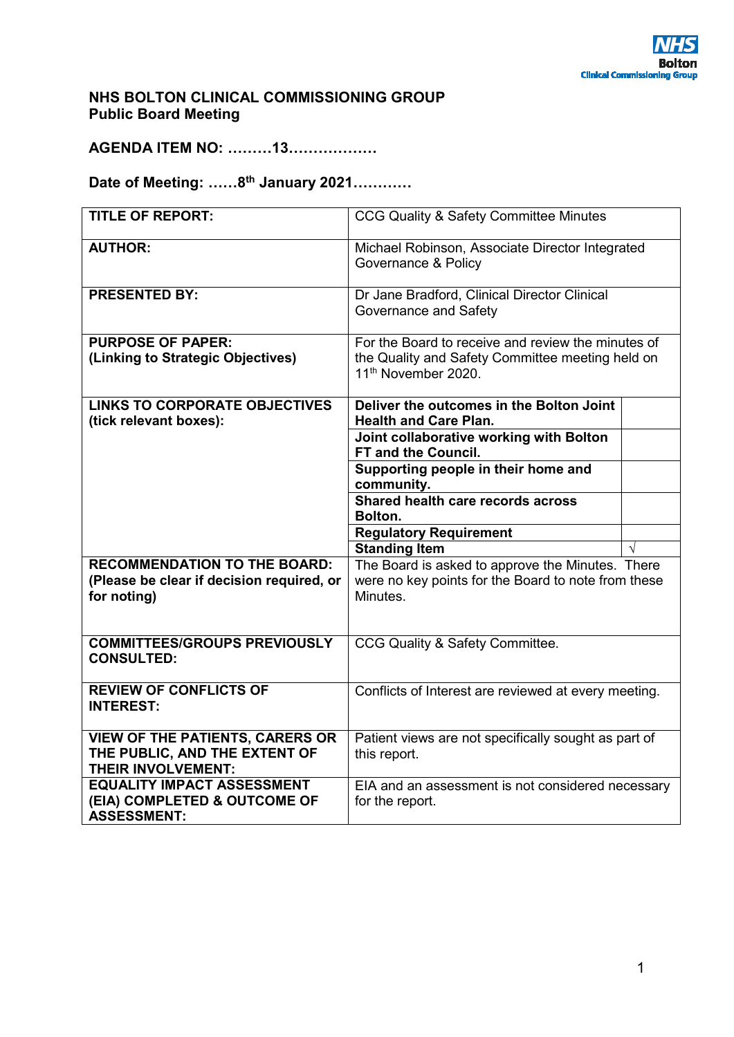### **NHS BOLTON CLINICAL COMMISSIONING GROUP Public Board Meeting**

**AGENDA ITEM NO: ………13………………** 

# **Date of Meeting: ……8th January 2021…………**

| <b>TITLE OF REPORT:</b>                   | CCG Quality & Safety Committee Minutes                                              |  |
|-------------------------------------------|-------------------------------------------------------------------------------------|--|
| <b>AUTHOR:</b>                            | Michael Robinson, Associate Director Integrated<br>Governance & Policy              |  |
| <b>PRESENTED BY:</b>                      | Dr Jane Bradford, Clinical Director Clinical<br>Governance and Safety               |  |
| <b>PURPOSE OF PAPER:</b>                  | For the Board to receive and review the minutes of                                  |  |
| (Linking to Strategic Objectives)         | the Quality and Safety Committee meeting held on<br>11 <sup>th</sup> November 2020. |  |
| <b>LINKS TO CORPORATE OBJECTIVES</b>      | Deliver the outcomes in the Bolton Joint                                            |  |
| (tick relevant boxes):                    | <b>Health and Care Plan.</b>                                                        |  |
|                                           | Joint collaborative working with Bolton                                             |  |
|                                           | <b>FT and the Council.</b>                                                          |  |
|                                           | Supporting people in their home and                                                 |  |
|                                           | community.                                                                          |  |
|                                           | Shared health care records across<br>Bolton.                                        |  |
|                                           | <b>Regulatory Requirement</b>                                                       |  |
|                                           | <b>Standing Item</b>                                                                |  |
| <b>RECOMMENDATION TO THE BOARD:</b>       | The Board is asked to approve the Minutes. There                                    |  |
| (Please be clear if decision required, or | were no key points for the Board to note from these                                 |  |
| for noting)                               | Minutes.                                                                            |  |
|                                           |                                                                                     |  |
| <b>COMMITTEES/GROUPS PREVIOUSLY</b>       | CCG Quality & Safety Committee.                                                     |  |
| <b>CONSULTED:</b>                         |                                                                                     |  |
| <b>REVIEW OF CONFLICTS OF</b>             | Conflicts of Interest are reviewed at every meeting.                                |  |
| <b>INTEREST:</b>                          |                                                                                     |  |
|                                           |                                                                                     |  |
| <b>VIEW OF THE PATIENTS, CARERS OR</b>    | Patient views are not specifically sought as part of                                |  |
| THE PUBLIC, AND THE EXTENT OF             | this report.                                                                        |  |
| <b>THEIR INVOLVEMENT:</b>                 |                                                                                     |  |
| <b>EQUALITY IMPACT ASSESSMENT</b>         | EIA and an assessment is not considered necessary                                   |  |
| (EIA) COMPLETED & OUTCOME OF              | for the report.                                                                     |  |
| <b>ASSESSMENT:</b>                        |                                                                                     |  |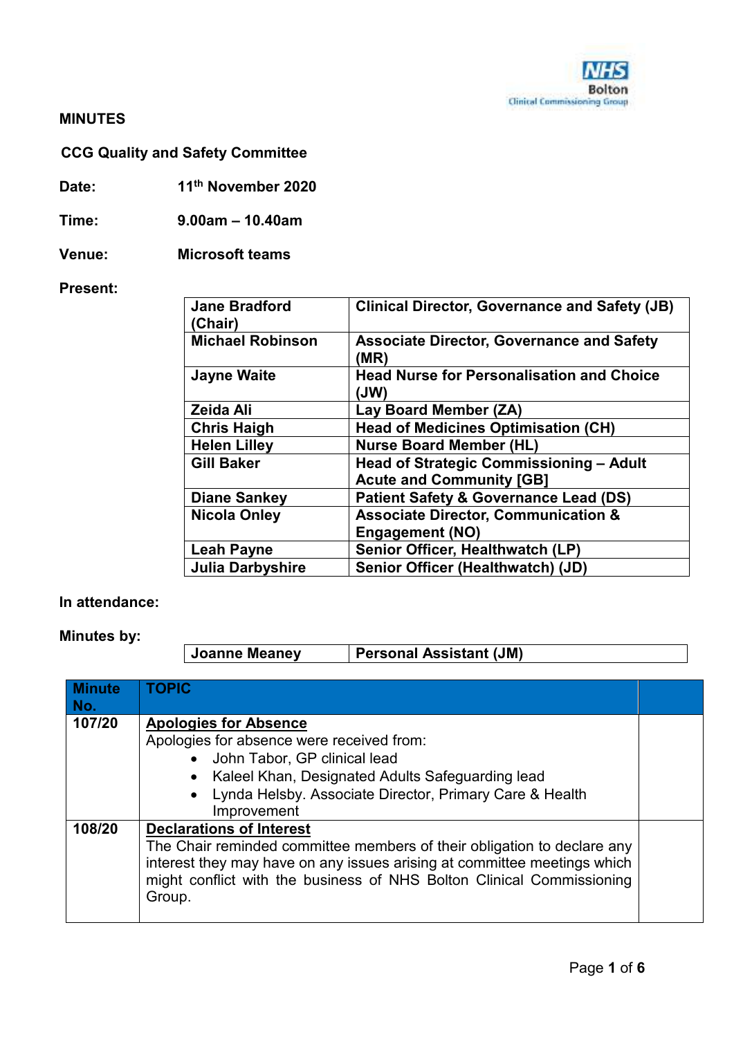

#### **MINUTES**

# **CCG Quality and Safety Committee**

**Date: 11th November 2020** 

**Time: 9.00am – 10.40am** 

**Venue: Microsoft teams** 

**Present:** 

| <b>Jane Bradford</b><br>(Chair) | <b>Clinical Director, Governance and Safety (JB)</b>     |
|---------------------------------|----------------------------------------------------------|
| <b>Michael Robinson</b>         | <b>Associate Director, Governance and Safety</b><br>(MR) |
| <b>Jayne Waite</b>              | <b>Head Nurse for Personalisation and Choice</b><br>(JW) |
| Zeida Ali                       | Lay Board Member (ZA)                                    |
| <b>Chris Haigh</b>              | <b>Head of Medicines Optimisation (CH)</b>               |
| <b>Helen Lilley</b>             | <b>Nurse Board Member (HL)</b>                           |
| <b>Gill Baker</b>               | Head of Strategic Commissioning - Adult                  |
|                                 | <b>Acute and Community [GB]</b>                          |
| <b>Diane Sankey</b>             | <b>Patient Safety &amp; Governance Lead (DS)</b>         |
| <b>Nicola Onley</b>             | <b>Associate Director, Communication &amp;</b>           |
|                                 | <b>Engagement (NO)</b>                                   |
| Leah Payne                      | Senior Officer, Healthwatch (LP)                         |
| <b>Julia Darbyshire</b>         | Senior Officer (Healthwatch) (JD)                        |

### **In attendance:**

**Minutes by:** 

**Joanne Meaney Personal Assistant (JM)** 

| Minute<br>No. | <b>TOPIC</b>                                                                                                                                                                                                                                                              |  |
|---------------|---------------------------------------------------------------------------------------------------------------------------------------------------------------------------------------------------------------------------------------------------------------------------|--|
| 107/20        | <b>Apologies for Absence</b><br>Apologies for absence were received from:<br>• John Tabor, GP clinical lead<br>• Kaleel Khan, Designated Adults Safeguarding lead<br>Lynda Helsby. Associate Director, Primary Care & Health<br>Improvement                               |  |
| 108/20        | <b>Declarations of Interest</b><br>The Chair reminded committee members of their obligation to declare any<br>interest they may have on any issues arising at committee meetings which<br>might conflict with the business of NHS Bolton Clinical Commissioning<br>Group. |  |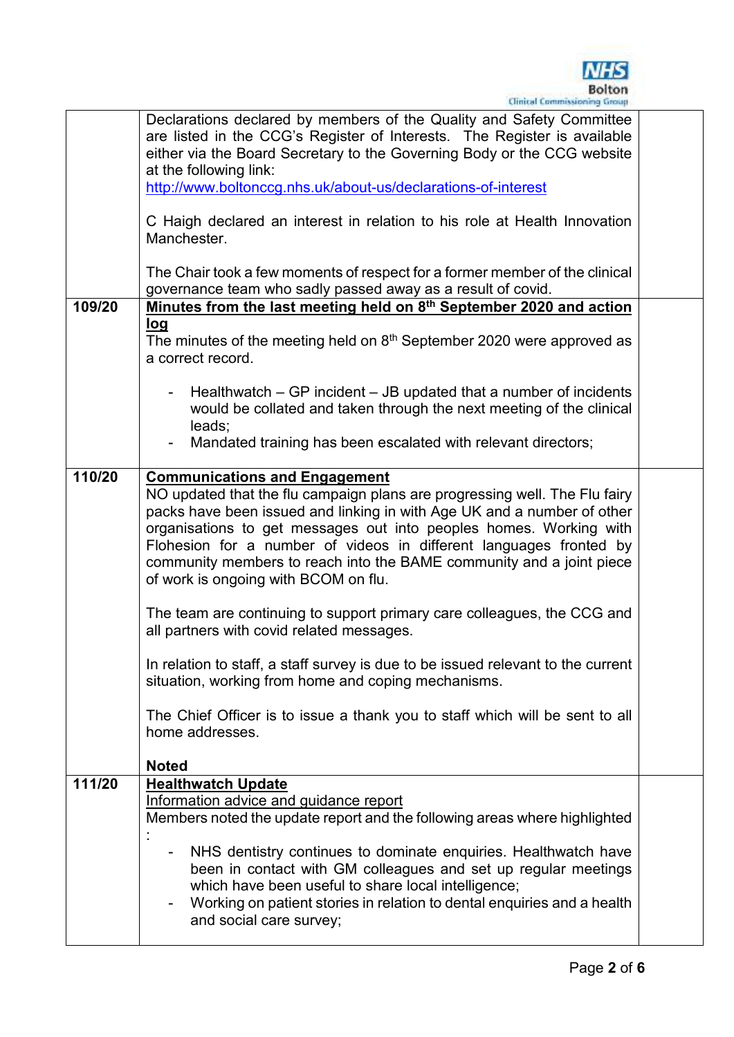

|        | Declarations declared by members of the Quality and Safety Committee<br>are listed in the CCG's Register of Interests. The Register is available<br>either via the Board Secretary to the Governing Body or the CCG website<br>at the following link:<br>http://www.boltonccg.nhs.uk/about-us/declarations-of-interest                                                                                                                                                                                                                                                                                                                                                                                                                                                                                                                          |  |
|--------|-------------------------------------------------------------------------------------------------------------------------------------------------------------------------------------------------------------------------------------------------------------------------------------------------------------------------------------------------------------------------------------------------------------------------------------------------------------------------------------------------------------------------------------------------------------------------------------------------------------------------------------------------------------------------------------------------------------------------------------------------------------------------------------------------------------------------------------------------|--|
|        | C Haigh declared an interest in relation to his role at Health Innovation<br>Manchester.                                                                                                                                                                                                                                                                                                                                                                                                                                                                                                                                                                                                                                                                                                                                                        |  |
|        | The Chair took a few moments of respect for a former member of the clinical<br>governance team who sadly passed away as a result of covid.                                                                                                                                                                                                                                                                                                                                                                                                                                                                                                                                                                                                                                                                                                      |  |
| 109/20 | Minutes from the last meeting held on 8 <sup>th</sup> September 2020 and action                                                                                                                                                                                                                                                                                                                                                                                                                                                                                                                                                                                                                                                                                                                                                                 |  |
|        | <u>log</u><br>The minutes of the meeting held on $8th$ September 2020 were approved as<br>a correct record.                                                                                                                                                                                                                                                                                                                                                                                                                                                                                                                                                                                                                                                                                                                                     |  |
|        | Healthwatch $-$ GP incident $-$ JB updated that a number of incidents<br>would be collated and taken through the next meeting of the clinical<br>leads;                                                                                                                                                                                                                                                                                                                                                                                                                                                                                                                                                                                                                                                                                         |  |
|        | Mandated training has been escalated with relevant directors;                                                                                                                                                                                                                                                                                                                                                                                                                                                                                                                                                                                                                                                                                                                                                                                   |  |
| 110/20 | <b>Communications and Engagement</b><br>NO updated that the flu campaign plans are progressing well. The Flu fairy<br>packs have been issued and linking in with Age UK and a number of other<br>organisations to get messages out into peoples homes. Working with<br>Flohesion for a number of videos in different languages fronted by<br>community members to reach into the BAME community and a joint piece<br>of work is ongoing with BCOM on flu.<br>The team are continuing to support primary care colleagues, the CCG and<br>all partners with covid related messages.<br>In relation to staff, a staff survey is due to be issued relevant to the current<br>situation, working from home and coping mechanisms.<br>The Chief Officer is to issue a thank you to staff which will be sent to all<br>home addresses.<br><b>Noted</b> |  |
| 111/20 | <b>Healthwatch Update</b>                                                                                                                                                                                                                                                                                                                                                                                                                                                                                                                                                                                                                                                                                                                                                                                                                       |  |
|        | Information advice and guidance report<br>Members noted the update report and the following areas where highlighted<br>NHS dentistry continues to dominate enquiries. Healthwatch have<br>been in contact with GM colleagues and set up regular meetings<br>which have been useful to share local intelligence;                                                                                                                                                                                                                                                                                                                                                                                                                                                                                                                                 |  |
|        | Working on patient stories in relation to dental enquiries and a health<br>and social care survey;                                                                                                                                                                                                                                                                                                                                                                                                                                                                                                                                                                                                                                                                                                                                              |  |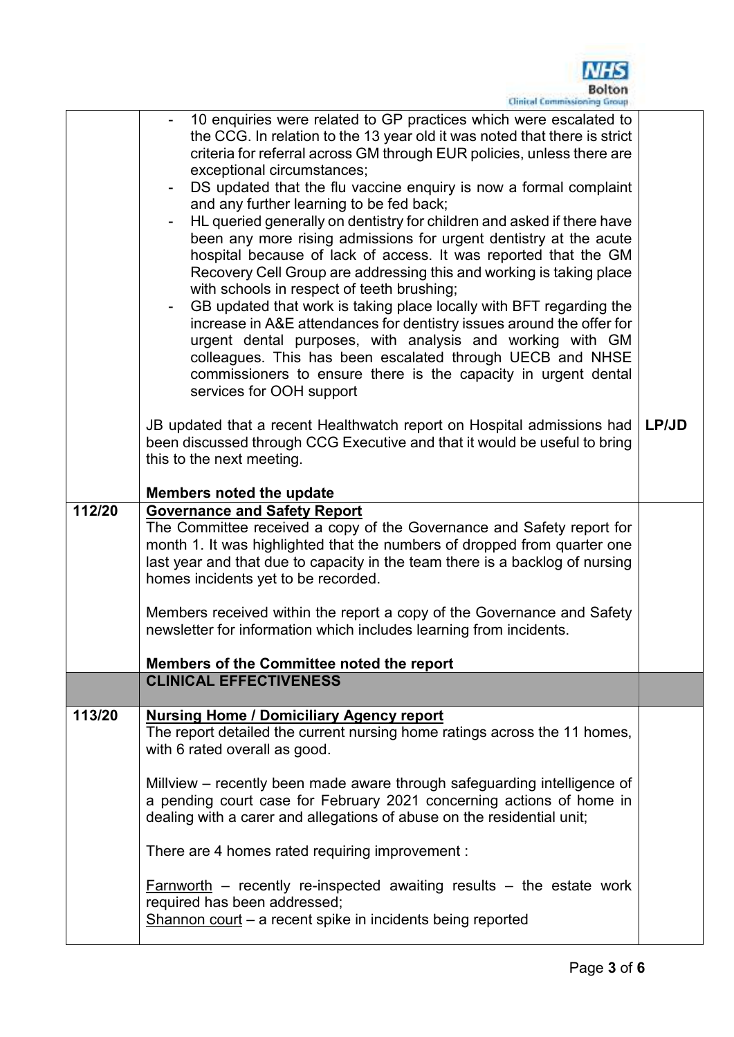

|        | <b>Cuartai Foundationned runniti</b>                                                                                                                                                                                                                                                                                                                                                                                                                                                                                                                                                                                                                                                                                                                                                                                                                                                                                                                                                                                                                                                                                                                                                                                                                                                                   |       |
|--------|--------------------------------------------------------------------------------------------------------------------------------------------------------------------------------------------------------------------------------------------------------------------------------------------------------------------------------------------------------------------------------------------------------------------------------------------------------------------------------------------------------------------------------------------------------------------------------------------------------------------------------------------------------------------------------------------------------------------------------------------------------------------------------------------------------------------------------------------------------------------------------------------------------------------------------------------------------------------------------------------------------------------------------------------------------------------------------------------------------------------------------------------------------------------------------------------------------------------------------------------------------------------------------------------------------|-------|
|        | 10 enquiries were related to GP practices which were escalated to<br>the CCG. In relation to the 13 year old it was noted that there is strict<br>criteria for referral across GM through EUR policies, unless there are<br>exceptional circumstances;<br>DS updated that the flu vaccine enquiry is now a formal complaint<br>and any further learning to be fed back;<br>HL queried generally on dentistry for children and asked if there have<br>been any more rising admissions for urgent dentistry at the acute<br>hospital because of lack of access. It was reported that the GM<br>Recovery Cell Group are addressing this and working is taking place<br>with schools in respect of teeth brushing;<br>GB updated that work is taking place locally with BFT regarding the<br>increase in A&E attendances for dentistry issues around the offer for<br>urgent dental purposes, with analysis and working with GM<br>colleagues. This has been escalated through UECB and NHSE<br>commissioners to ensure there is the capacity in urgent dental<br>services for OOH support<br>JB updated that a recent Healthwatch report on Hospital admissions had<br>been discussed through CCG Executive and that it would be useful to bring<br>this to the next meeting.<br>Members noted the update | LP/JD |
| 112/20 | <b>Governance and Safety Report</b>                                                                                                                                                                                                                                                                                                                                                                                                                                                                                                                                                                                                                                                                                                                                                                                                                                                                                                                                                                                                                                                                                                                                                                                                                                                                    |       |
|        | The Committee received a copy of the Governance and Safety report for<br>month 1. It was highlighted that the numbers of dropped from quarter one<br>last year and that due to capacity in the team there is a backlog of nursing<br>homes incidents yet to be recorded.<br>Members received within the report a copy of the Governance and Safety<br>newsletter for information which includes learning from incidents.                                                                                                                                                                                                                                                                                                                                                                                                                                                                                                                                                                                                                                                                                                                                                                                                                                                                               |       |
|        | Members of the Committee noted the report                                                                                                                                                                                                                                                                                                                                                                                                                                                                                                                                                                                                                                                                                                                                                                                                                                                                                                                                                                                                                                                                                                                                                                                                                                                              |       |
|        | <b>CLINICAL EFFECTIVENESS</b>                                                                                                                                                                                                                                                                                                                                                                                                                                                                                                                                                                                                                                                                                                                                                                                                                                                                                                                                                                                                                                                                                                                                                                                                                                                                          |       |
|        |                                                                                                                                                                                                                                                                                                                                                                                                                                                                                                                                                                                                                                                                                                                                                                                                                                                                                                                                                                                                                                                                                                                                                                                                                                                                                                        |       |
| 113/20 | <b>Nursing Home / Domiciliary Agency report</b><br>The report detailed the current nursing home ratings across the 11 homes,<br>with 6 rated overall as good.                                                                                                                                                                                                                                                                                                                                                                                                                                                                                                                                                                                                                                                                                                                                                                                                                                                                                                                                                                                                                                                                                                                                          |       |
|        | Millview – recently been made aware through safeguarding intelligence of<br>a pending court case for February 2021 concerning actions of home in<br>dealing with a carer and allegations of abuse on the residential unit;                                                                                                                                                                                                                                                                                                                                                                                                                                                                                                                                                                                                                                                                                                                                                                                                                                                                                                                                                                                                                                                                             |       |
|        | There are 4 homes rated requiring improvement :                                                                                                                                                                                                                                                                                                                                                                                                                                                                                                                                                                                                                                                                                                                                                                                                                                                                                                                                                                                                                                                                                                                                                                                                                                                        |       |
|        | $Farnworth$ – recently re-inspected awaiting results – the estate work<br>required has been addressed;<br>Shannon court – a recent spike in incidents being reported                                                                                                                                                                                                                                                                                                                                                                                                                                                                                                                                                                                                                                                                                                                                                                                                                                                                                                                                                                                                                                                                                                                                   |       |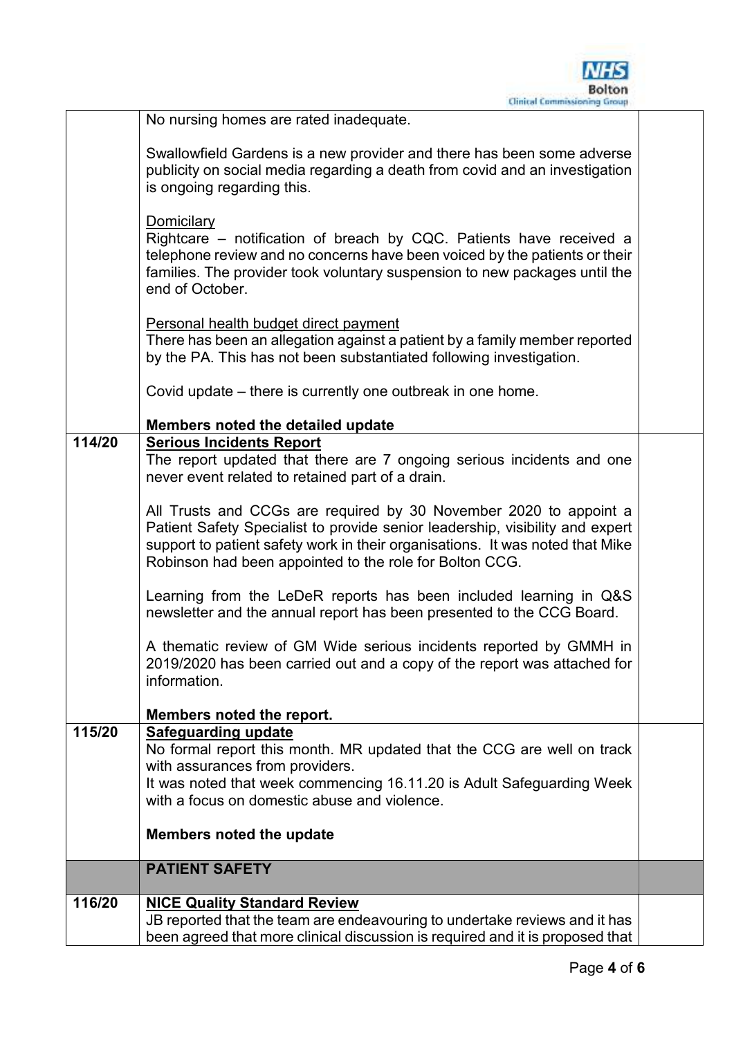

|        | No nursing homes are rated inadequate.                                        |  |
|--------|-------------------------------------------------------------------------------|--|
|        |                                                                               |  |
|        | Swallowfield Gardens is a new provider and there has been some adverse        |  |
|        | publicity on social media regarding a death from covid and an investigation   |  |
|        | is ongoing regarding this.                                                    |  |
|        |                                                                               |  |
|        | Domicilary                                                                    |  |
|        | Rightcare – notification of breach by CQC. Patients have received a           |  |
|        | telephone review and no concerns have been voiced by the patients or their    |  |
|        | families. The provider took voluntary suspension to new packages until the    |  |
|        | end of October.                                                               |  |
|        |                                                                               |  |
|        | Personal health budget direct payment                                         |  |
|        | There has been an allegation against a patient by a family member reported    |  |
|        | by the PA. This has not been substantiated following investigation.           |  |
|        |                                                                               |  |
|        | Covid update – there is currently one outbreak in one home.                   |  |
|        | Members noted the detailed update                                             |  |
| 114/20 | <b>Serious Incidents Report</b>                                               |  |
|        | The report updated that there are 7 ongoing serious incidents and one         |  |
|        | never event related to retained part of a drain.                              |  |
|        |                                                                               |  |
|        | All Trusts and CCGs are required by 30 November 2020 to appoint a             |  |
|        | Patient Safety Specialist to provide senior leadership, visibility and expert |  |
|        | support to patient safety work in their organisations. It was noted that Mike |  |
|        | Robinson had been appointed to the role for Bolton CCG.                       |  |
|        |                                                                               |  |
|        | Learning from the LeDeR reports has been included learning in Q&S             |  |
|        | newsletter and the annual report has been presented to the CCG Board.         |  |
|        |                                                                               |  |
|        | A thematic review of GM Wide serious incidents reported by GMMH in            |  |
|        | 2019/2020 has been carried out and a copy of the report was attached for      |  |
|        | information.                                                                  |  |
|        |                                                                               |  |
|        | Members noted the report.                                                     |  |
| 115/20 | <b>Safeguarding update</b>                                                    |  |
|        | No formal report this month. MR updated that the CCG are well on track        |  |
|        | with assurances from providers.                                               |  |
|        | It was noted that week commencing 16.11.20 is Adult Safeguarding Week         |  |
|        | with a focus on domestic abuse and violence.                                  |  |
|        | <b>Members noted the update</b>                                               |  |
|        |                                                                               |  |
|        | <b>PATIENT SAFETY</b>                                                         |  |
|        |                                                                               |  |
| 116/20 | <b>NICE Quality Standard Review</b>                                           |  |
|        | JB reported that the team are endeavouring to undertake reviews and it has    |  |
|        | been agreed that more clinical discussion is required and it is proposed that |  |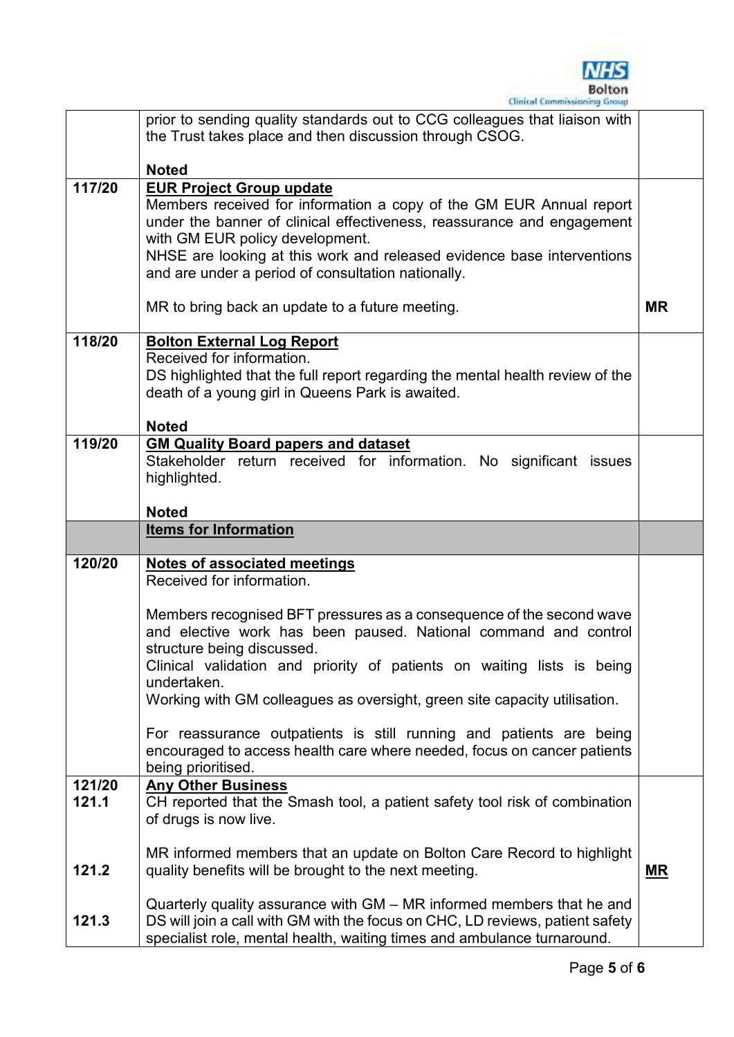

|                 | prior to sending quality standards out to CCG colleagues that liaison with<br>the Trust takes place and then discussion through CSOG.                                                                                                                                                                                                               |           |
|-----------------|-----------------------------------------------------------------------------------------------------------------------------------------------------------------------------------------------------------------------------------------------------------------------------------------------------------------------------------------------------|-----------|
|                 | <b>Noted</b>                                                                                                                                                                                                                                                                                                                                        |           |
| 117/20          | <b>EUR Project Group update</b><br>Members received for information a copy of the GM EUR Annual report<br>under the banner of clinical effectiveness, reassurance and engagement<br>with GM EUR policy development.<br>NHSE are looking at this work and released evidence base interventions<br>and are under a period of consultation nationally. |           |
|                 | MR to bring back an update to a future meeting.                                                                                                                                                                                                                                                                                                     | <b>MR</b> |
| 118/20          | <b>Bolton External Log Report</b><br>Received for information.<br>DS highlighted that the full report regarding the mental health review of the<br>death of a young girl in Queens Park is awaited.<br><b>Noted</b>                                                                                                                                 |           |
| 119/20          | <b>GM Quality Board papers and dataset</b><br>Stakeholder return received for information. No significant issues<br>highlighted.                                                                                                                                                                                                                    |           |
|                 | <b>Noted</b>                                                                                                                                                                                                                                                                                                                                        |           |
|                 | <b>Items for Information</b>                                                                                                                                                                                                                                                                                                                        |           |
| 120/20          | <b>Notes of associated meetings</b><br>Received for information.                                                                                                                                                                                                                                                                                    |           |
|                 | Members recognised BFT pressures as a consequence of the second wave<br>and elective work has been paused. National command and control<br>structure being discussed.<br>Clinical validation and priority of patients on waiting lists is being<br>undertaken.<br>Working with GM colleagues as oversight, green site capacity utilisation.         |           |
|                 | For reassurance outpatients is still running and patients are being<br>encouraged to access health care where needed, focus on cancer patients<br>being prioritised.                                                                                                                                                                                |           |
| 121/20<br>121.1 | <b>Any Other Business</b><br>CH reported that the Smash tool, a patient safety tool risk of combination<br>of drugs is now live.                                                                                                                                                                                                                    |           |
| 121.2           | MR informed members that an update on Bolton Care Record to highlight<br>quality benefits will be brought to the next meeting.                                                                                                                                                                                                                      | <u>MR</u> |
| 121.3           | Quarterly quality assurance with GM – MR informed members that he and<br>DS will join a call with GM with the focus on CHC, LD reviews, patient safety<br>specialist role, mental health, waiting times and ambulance turnaround.                                                                                                                   |           |